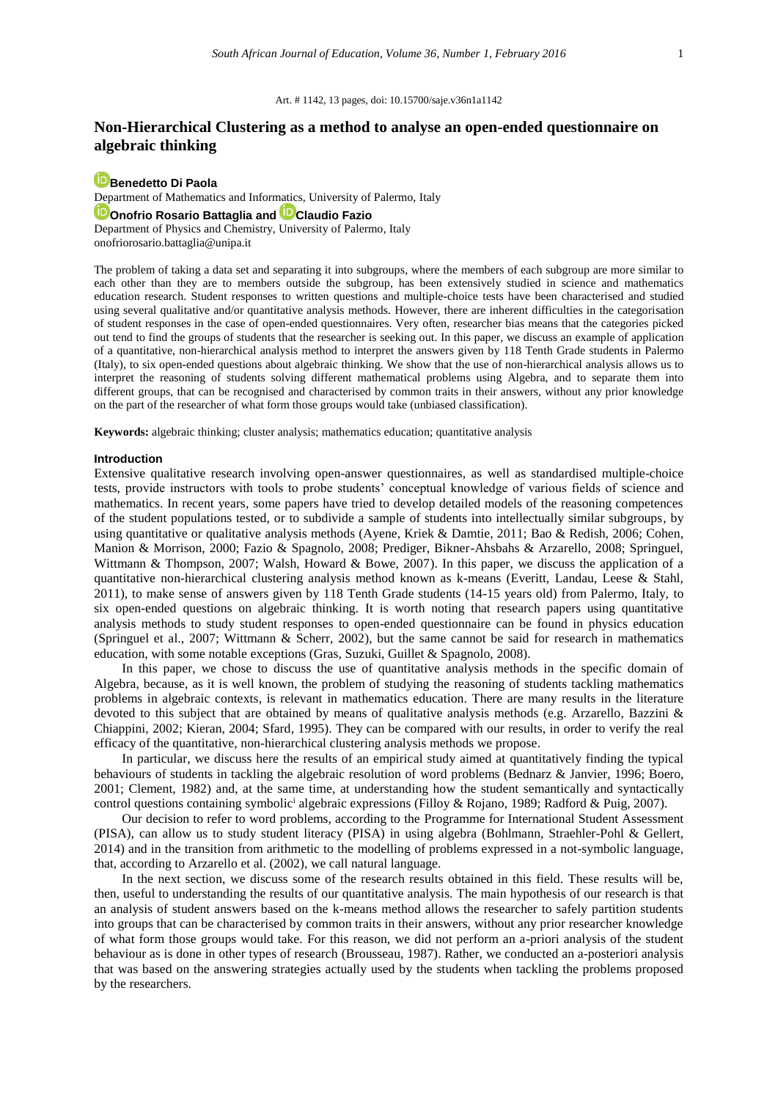#### Art. # 1142, 13 pages, doi: 10.15700/saje.v36n1a1142

# **Non-Hierarchical Clustering as a method to analyse an open-ended questionnaire on algebraic thinking**

## **[Benedetto Di Paola](http://orcid.org/0000-0003-0305-5640)**

Department of Mathematics and Informatics, University of Palermo, Italy **[Onofrio Rosario Battaglia](http://orcid.org/0000-0002-0250-0514) and [Claudio Fazio](http://orcid.org/0000-0002-3031-1665)** Department of Physics and Chemistry, University of Palermo, Italy [onofriorosario.battaglia@unipa.it](mailto:onofriorosario.battaglia@unipa.it)

The problem of taking a data set and separating it into subgroups, where the members of each subgroup are more similar to each other than they are to members outside the subgroup, has been extensively studied in science and mathematics education research. Student responses to written questions and multiple-choice tests have been characterised and studied using several qualitative and/or quantitative analysis methods. However, there are inherent difficulties in the categorisation of student responses in the case of open-ended questionnaires. Very often, researcher bias means that the categories picked out tend to find the groups of students that the researcher is seeking out. In this paper, we discuss an example of application of a quantitative, non-hierarchical analysis method to interpret the answers given by 118 Tenth Grade students in Palermo (Italy), to six open-ended questions about algebraic thinking. We show that the use of non-hierarchical analysis allows us to interpret the reasoning of students solving different mathematical problems using Algebra, and to separate them into different groups, that can be recognised and characterised by common traits in their answers, without any prior knowledge on the part of the researcher of what form those groups would take (unbiased classification).

**Keywords:** algebraic thinking; cluster analysis; mathematics education; quantitative analysis

#### **Introduction**

Extensive qualitative research involving open-answer questionnaires, as well as standardised multiple-choice tests, provide instructors with tools to probe students' conceptual knowledge of various fields of science and mathematics. In recent years, some papers have tried to develop detailed models of the reasoning competences of the student populations tested, or to subdivide a sample of students into intellectually similar subgroups, by using quantitative or qualitative analysis methods (Ayene, Kriek & Damtie, 2011; Bao & Redish, 2006; Cohen, Manion & Morrison, 2000; Fazio & Spagnolo, 2008; Prediger, Bikner-Ahsbahs & Arzarello, 2008; Springuel, Wittmann & Thompson, 2007; Walsh, Howard & Bowe, 2007). In this paper, we discuss the application of a quantitative non-hierarchical clustering analysis method known as k-means (Everitt, Landau, Leese & Stahl, 2011), to make sense of answers given by 118 Tenth Grade students (14-15 years old) from Palermo, Italy, to six open-ended questions on algebraic thinking. It is worth noting that research papers using quantitative analysis methods to study student responses to open-ended questionnaire can be found in physics education (Springuel et al., 2007; Wittmann & Scherr, 2002), but the same cannot be said for research in mathematics education, with some notable exceptions (Gras, Suzuki, Guillet & Spagnolo, 2008).

In this paper, we chose to discuss the use of quantitative analysis methods in the specific domain of Algebra, because, as it is well known, the problem of studying the reasoning of students tackling mathematics problems in algebraic contexts, is relevant in mathematics education. There are many results in the literature devoted to this subject that are obtained by means of qualitative analysis methods (e.g. Arzarello, Bazzini & Chiappini, 2002; Kieran, 2004; Sfard, 1995). They can be compared with our results, in order to verify the real efficacy of the quantitative, non-hierarchical clustering analysis methods we propose.

In particular, we discuss here the results of an empirical study aimed at quantitatively finding the typical behaviours of students in tackling the algebraic resolution of word problems (Bednarz & Janvier, 1996; Boero, 2001; Clement, 1982) and, at the same time, at understanding how the student semantically and syntactically control questions containing symbolic<sup>i</sup> algebraic expressions (Filloy & Rojano, 1989; Radford & Puig, 2007).

Our decision to refer to word problems, according to the Programme for International Student Assessment (PISA), can allow us to study student literacy (PISA) in using algebra (Bohlmann, Straehler-Pohl & Gellert, 2014) and in the transition from arithmetic to the modelling of problems expressed in a not-symbolic language, that, according to Arzarello et al. (2002), we call natural language.

In the next section, we discuss some of the research results obtained in this field. These results will be, then, useful to understanding the results of our quantitative analysis. The main hypothesis of our research is that an analysis of student answers based on the k-means method allows the researcher to safely partition students into groups that can be characterised by common traits in their answers, without any prior researcher knowledge of what form those groups would take. For this reason, we did not perform an a-priori analysis of the student behaviour as is done in other types of research (Brousseau, 1987). Rather, we conducted an a-posteriori analysis that was based on the answering strategies actually used by the students when tackling the problems proposed by the researchers.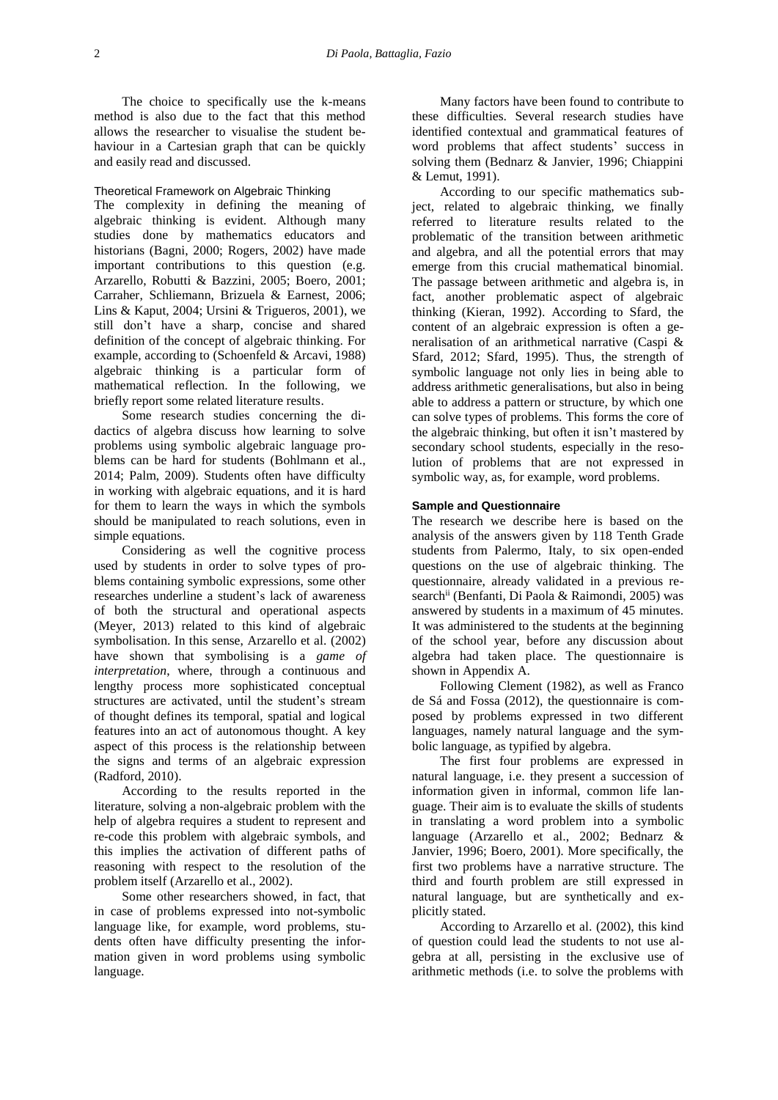The choice to specifically use the k-means method is also due to the fact that this method allows the researcher to visualise the student behaviour in a Cartesian graph that can be quickly and easily read and discussed.

#### Theoretical Framework on Algebraic Thinking

The complexity in defining the meaning of algebraic thinking is evident. Although many studies done by mathematics educators and historians (Bagni, 2000; Rogers, 2002) have made important contributions to this question (e.g. Arzarello, Robutti & Bazzini, 2005; Boero, 2001; Carraher, Schliemann, Brizuela & Earnest, 2006; Lins & Kaput, 2004; Ursini & Trigueros, 2001), we still don't have a sharp, concise and shared definition of the concept of algebraic thinking. For example, according to (Schoenfeld & Arcavi, 1988) algebraic thinking is a particular form of mathematical reflection. In the following, we briefly report some related literature results.

Some research studies concerning the didactics of algebra discuss how learning to solve problems using symbolic algebraic language problems can be hard for students (Bohlmann et al., 2014; Palm, 2009). Students often have difficulty in working with algebraic equations, and it is hard for them to learn the ways in which the symbols should be manipulated to reach solutions, even in simple equations.

Considering as well the cognitive process used by students in order to solve types of problems containing symbolic expressions, some other researches underline a student's lack of awareness of both the structural and operational aspects (Meyer, 2013) related to this kind of algebraic symbolisation. In this sense, Arzarello et al. (2002) have shown that symbolising is a *game of interpretation*, where, through a continuous and lengthy process more sophisticated conceptual structures are activated, until the student's stream of thought defines its temporal, spatial and logical features into an act of autonomous thought. A key aspect of this process is the relationship between the signs and terms of an algebraic expression (Radford, 2010).

According to the results reported in the literature, solving a non-algebraic problem with the help of algebra requires a student to represent and re-code this problem with algebraic symbols, and this implies the activation of different paths of reasoning with respect to the resolution of the problem itself (Arzarello et al., 2002).

Some other researchers showed, in fact, that in case of problems expressed into not-symbolic language like, for example, word problems, students often have difficulty presenting the information given in word problems using symbolic language.

Many factors have been found to contribute to these difficulties. Several research studies have identified contextual and grammatical features of word problems that affect students' success in solving them (Bednarz & Janvier, 1996; Chiappini & Lemut, 1991).

According to our specific mathematics subject, related to algebraic thinking, we finally referred to literature results related to the problematic of the transition between arithmetic and algebra, and all the potential errors that may emerge from this crucial mathematical binomial. The passage between arithmetic and algebra is, in fact, another problematic aspect of algebraic thinking (Kieran, 1992). According to Sfard, the content of an algebraic expression is often a generalisation of an arithmetical narrative (Caspi & Sfard, 2012; Sfard, 1995). Thus, the strength of symbolic language not only lies in being able to address arithmetic generalisations, but also in being able to address a pattern or structure, by which one can solve types of problems. This forms the core of the algebraic thinking, but often it isn't mastered by secondary school students, especially in the resolution of problems that are not expressed in symbolic way, as, for example, word problems.

## **Sample and Questionnaire**

The research we describe here is based on the analysis of the answers given by 118 Tenth Grade students from Palermo, Italy, to six open-ended questions on the use of algebraic thinking. The questionnaire, already validated in a previous research<sup>ii</sup> (Benfanti, Di Paola & Raimondi, 2005) was answered by students in a maximum of 45 minutes. It was administered to the students at the beginning of the school year, before any discussion about algebra had taken place. The questionnaire is shown in Appendix A.

Following Clement (1982), as well as Franco de Sá and Fossa (2012), the questionnaire is composed by problems expressed in two different languages, namely natural language and the symbolic language, as typified by algebra.

The first four problems are expressed in natural language, i.e. they present a succession of information given in informal, common life language. Their aim is to evaluate the skills of students in translating a word problem into a symbolic language (Arzarello et al., 2002; Bednarz & Janvier, 1996; Boero, 2001). More specifically, the first two problems have a narrative structure. The third and fourth problem are still expressed in natural language, but are synthetically and explicitly stated.

According to Arzarello et al. (2002), this kind of question could lead the students to not use algebra at all, persisting in the exclusive use of arithmetic methods (i.e. to solve the problems with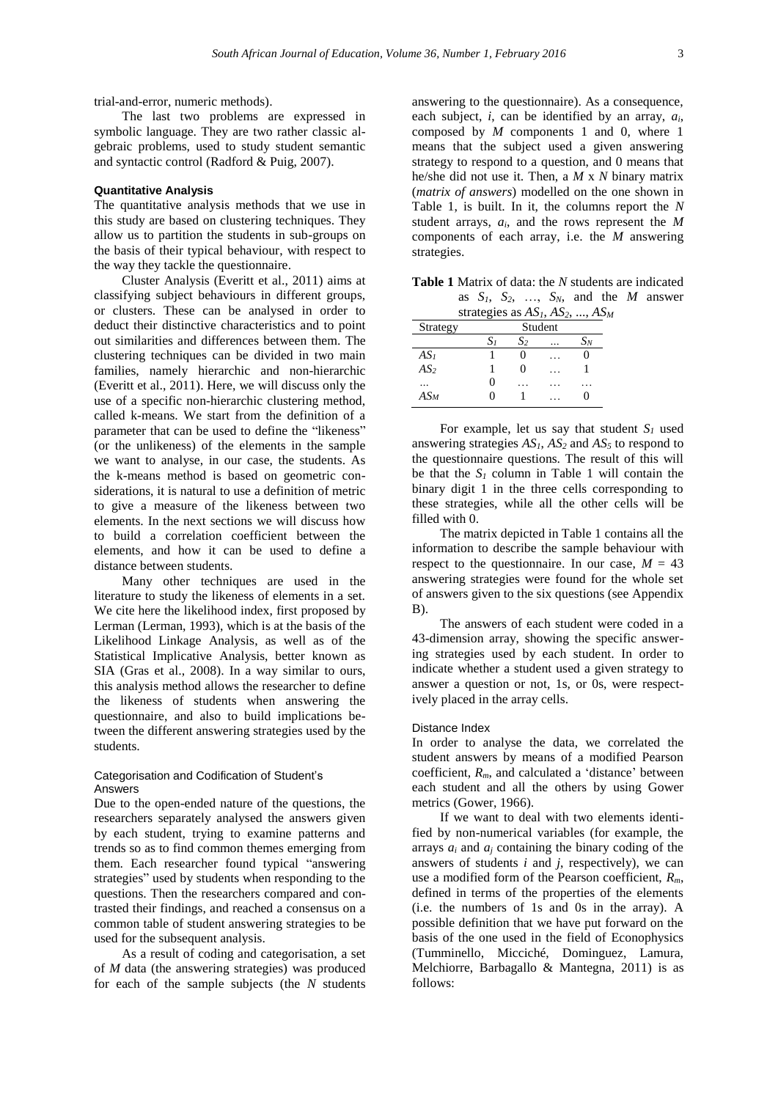trial-and-error, numeric methods).

The last two problems are expressed in symbolic language. They are two rather classic algebraic problems, used to study student semantic and syntactic control (Radford & Puig, 2007).

#### **Quantitative Analysis**

The quantitative analysis methods that we use in this study are based on clustering techniques. They allow us to partition the students in sub-groups on the basis of their typical behaviour, with respect to the way they tackle the questionnaire.

Cluster Analysis (Everitt et al., 2011) aims at classifying subject behaviours in different groups, or clusters. These can be analysed in order to deduct their distinctive characteristics and to point out similarities and differences between them. The clustering techniques can be divided in two main families, namely hierarchic and non-hierarchic (Everitt et al., 2011). Here, we will discuss only the use of a specific non-hierarchic clustering method, called k-means. We start from the definition of a parameter that can be used to define the "likeness" (or the unlikeness) of the elements in the sample we want to analyse, in our case, the students. As the k-means method is based on geometric considerations, it is natural to use a definition of metric to give a measure of the likeness between two elements. In the next sections we will discuss how to build a correlation coefficient between the elements, and how it can be used to define a distance between students.

Many other techniques are used in the literature to study the likeness of elements in a set. We cite here the likelihood index, first proposed by Lerman (Lerman, 1993), which is at the basis of the Likelihood Linkage Analysis, as well as of the Statistical Implicative Analysis, better known as SIA (Gras et al., 2008). In a way similar to ours, this analysis method allows the researcher to define the likeness of students when answering the questionnaire, and also to build implications between the different answering strategies used by the students.

### Categorisation and Codification of Student's Answers

Due to the open-ended nature of the questions, the researchers separately analysed the answers given by each student, trying to examine patterns and trends so as to find common themes emerging from them. Each researcher found typical "answering strategies" used by students when responding to the questions. Then the researchers compared and contrasted their findings, and reached a consensus on a common table of student answering strategies to be used for the subsequent analysis.

As a result of coding and categorisation, a set of *M* data (the answering strategies) was produced for each of the sample subjects (the *N* students

answering to the questionnaire). As a consequence, each subject, *i*, can be identified by an array, *ai*, composed by *M* components 1 and 0, where 1 means that the subject used a given answering strategy to respond to a question, and 0 means that he/she did not use it. Then, a *M* x *N* binary matrix (*matrix of answers*) modelled on the one shown in Table 1, is built. In it, the columns report the *N* student arrays, *ai*, and the rows represent the *M* components of each array, i.e. the *M* answering strategies.

**Table 1** Matrix of data: the *N* students are indicated as  $S_1$ ,  $S_2$ , ...,  $S_N$ , and the *M* answer strategies as *AS1*, *AS2*, ..., *AS<sup>M</sup>*

| Strategy        | Student |       |  |       |  |
|-----------------|---------|-------|--|-------|--|
|                 | S1      | $S_2$ |  | $S_N$ |  |
| AS <sub>l</sub> |         | 0     |  | O     |  |
| AS <sub>2</sub> |         | 0     |  |       |  |
|                 | 0       |       |  |       |  |
| $AS_M$          | 0       |       |  | 0     |  |

For example, let us say that student  $S_I$  used answering strategies  $AS<sub>1</sub>$ ,  $AS<sub>2</sub>$  and  $AS<sub>5</sub>$  to respond to the questionnaire questions. The result of this will be that the  $S_I$  column in Table 1 will contain the binary digit 1 in the three cells corresponding to these strategies, while all the other cells will be filled with 0.

The matrix depicted in Table 1 contains all the information to describe the sample behaviour with respect to the questionnaire. In our case,  $M = 43$ answering strategies were found for the whole set of answers given to the six questions (see Appendix B).

The answers of each student were coded in a 43-dimension array, showing the specific answering strategies used by each student. In order to indicate whether a student used a given strategy to answer a question or not, 1s, or 0s, were respectively placed in the array cells.

#### Distance Index

In order to analyse the data, we correlated the student answers by means of a modified Pearson coefficient, *Rm*, and calculated a 'distance' between each student and all the others by using Gower metrics (Gower, 1966).

If we want to deal with two elements identified by non-numerical variables (for example, the arrays  $a_i$  and  $a_j$  containing the binary coding of the answers of students *i* and *j*, respectively), we can use a modified form of the Pearson coefficient, *Rm*, defined in terms of the properties of the elements (i.e. the numbers of 1s and 0s in the array). A possible definition that we have put forward on the basis of the one used in the field of Econophysics (Tumminello, Micciché, Dominguez, Lamura, Melchiorre, Barbagallo & Mantegna, 2011) is as follows: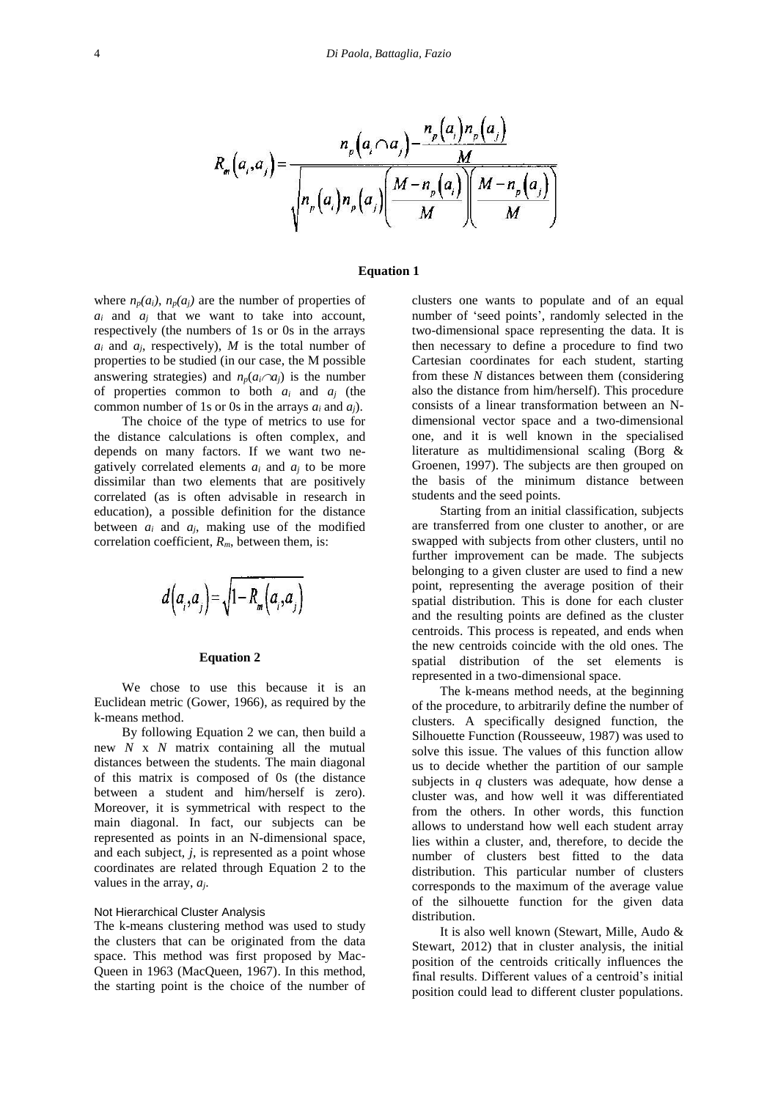$$
R_m\left(a_i, a_j\right) = \frac{n_p\left(a_i \cap a_j\right) - \frac{n_p\left(a_i\right)n_p\left(a_j\right)}{M}}{\sqrt{n_p\left(a_i\right)n_p\left(a_j\right)\left(\frac{M - n_p\left(a_i\right)}{M}\right)\left(\frac{M - n_p\left(a_j\right)}{M}\right)}}
$$

#### **Equation 1**

where  $n_p(a_i)$ ,  $n_p(a_j)$  are the number of properties of  $a_i$  and  $a_j$  that we want to take into account, respectively (the numbers of 1s or 0s in the arrays  $a_i$  and  $a_j$ , respectively), *M* is the total number of properties to be studied (in our case, the M possible answering strategies) and  $n_p(a_i \cap a_j)$  is the number of properties common to both  $a_i$  and  $a_j$  (the common number of 1s or 0s in the arrays  $a_i$  and  $a_j$ ).

The choice of the type of metrics to use for the distance calculations is often complex, and depends on many factors. If we want two negatively correlated elements  $a_i$  and  $a_j$  to be more dissimilar than two elements that are positively correlated (as is often advisable in research in education), a possible definition for the distance between  $a_i$  and  $a_j$ , making use of the modified correlation coefficient, *Rm*, between them, is:

$$
d\left(a_{i}, a_{j}\right) = \sqrt{1 - R_{m}\left(a_{i}, a_{j}\right)}
$$

#### **Equation 2**

We chose to use this because it is an Euclidean metric (Gower, 1966), as required by the k-means method.

By following Equation 2 we can, then build a new *N* x *N* matrix containing all the mutual distances between the students. The main diagonal of this matrix is composed of 0s (the distance between a student and him/herself is zero). Moreover, it is symmetrical with respect to the main diagonal. In fact, our subjects can be represented as points in an N-dimensional space, and each subject, *j*, is represented as a point whose coordinates are related through Equation 2 to the values in the array, *aj*.

#### Not Hierarchical Cluster Analysis

The k-means clustering method was used to study the clusters that can be originated from the data space. This method was first proposed by Mac-Queen in 1963 (MacQueen, 1967). In this method, the starting point is the choice of the number of

clusters one wants to populate and of an equal number of 'seed points', randomly selected in the two-dimensional space representing the data. It is then necessary to define a procedure to find two Cartesian coordinates for each student, starting from these *N* distances between them (considering also the distance from him/herself). This procedure consists of a linear transformation between an Ndimensional vector space and a two-dimensional one, and it is well known in the specialised literature as multidimensional scaling (Borg & Groenen, 1997). The subjects are then grouped on the basis of the minimum distance between students and the seed points.

Starting from an initial classification, subjects are transferred from one cluster to another, or are swapped with subjects from other clusters, until no further improvement can be made. The subjects belonging to a given cluster are used to find a new point, representing the average position of their spatial distribution. This is done for each cluster and the resulting points are defined as the cluster centroids. This process is repeated, and ends when the new centroids coincide with the old ones. The spatial distribution of the set elements is represented in a two-dimensional space.

The k-means method needs, at the beginning of the procedure, to arbitrarily define the number of clusters. A specifically designed function, the Silhouette Function (Rousseeuw, 1987) was used to solve this issue. The values of this function allow us to decide whether the partition of our sample subjects in *q* clusters was adequate, how dense a cluster was, and how well it was differentiated from the others. In other words, this function allows to understand how well each student array lies within a cluster, and, therefore, to decide the number of clusters best fitted to the data distribution. This particular number of clusters corresponds to the maximum of the average value of the silhouette function for the given data distribution.

It is also well known (Stewart, Mille, Audo & Stewart, 2012) that in cluster analysis, the initial position of the centroids critically influences the final results. Different values of a centroid's initial position could lead to different cluster populations.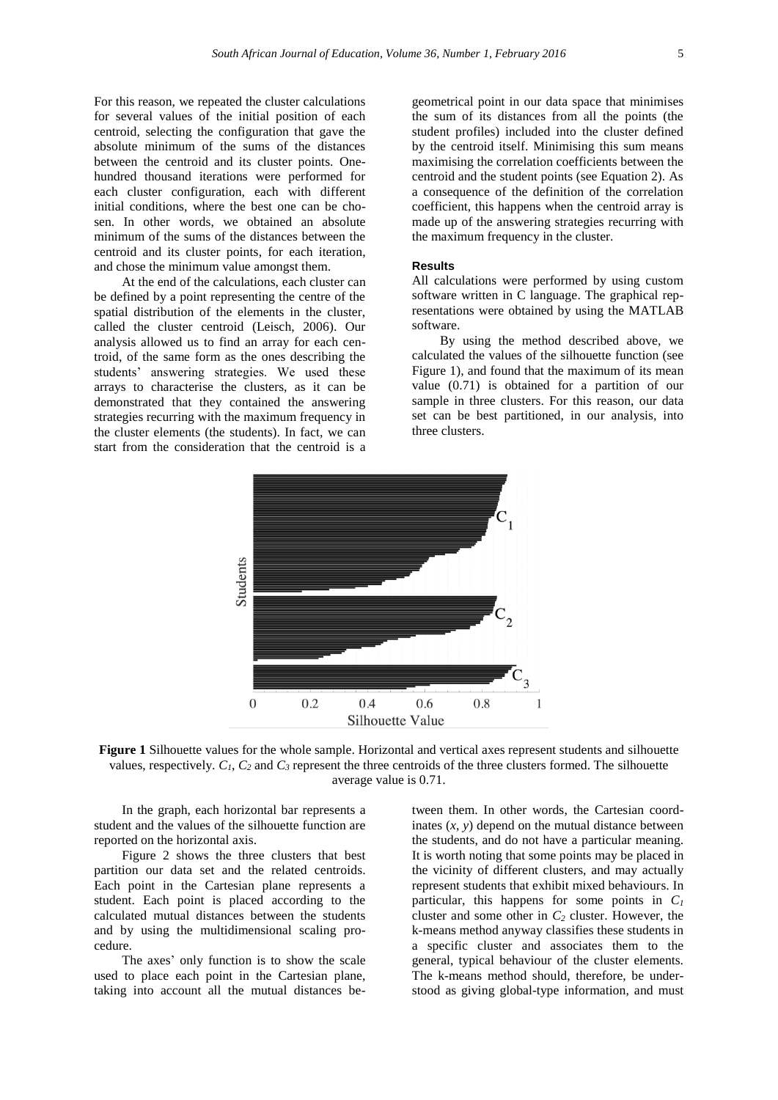For this reason, we repeated the cluster calculations for several values of the initial position of each centroid, selecting the configuration that gave the absolute minimum of the sums of the distances between the centroid and its cluster points. Onehundred thousand iterations were performed for each cluster configuration, each with different initial conditions, where the best one can be chosen. In other words, we obtained an absolute minimum of the sums of the distances between the centroid and its cluster points, for each iteration, and chose the minimum value amongst them.

At the end of the calculations, each cluster can be defined by a point representing the centre of the spatial distribution of the elements in the cluster, called the cluster centroid (Leisch, 2006). Our analysis allowed us to find an array for each centroid, of the same form as the ones describing the students' answering strategies. We used these arrays to characterise the clusters, as it can be demonstrated that they contained the answering strategies recurring with the maximum frequency in the cluster elements (the students). In fact, we can start from the consideration that the centroid is a

geometrical point in our data space that minimises the sum of its distances from all the points (the student profiles) included into the cluster defined by the centroid itself. Minimising this sum means maximising the correlation coefficients between the centroid and the student points (see Equation 2). As a consequence of the definition of the correlation coefficient, this happens when the centroid array is made up of the answering strategies recurring with the maximum frequency in the cluster.

## **Results**

All calculations were performed by using custom software written in C language. The graphical representations were obtained by using the MATLAB software.

By using the method described above, we calculated the values of the silhouette function (see Figure 1), and found that the maximum of its mean value (0.71) is obtained for a partition of our sample in three clusters. For this reason, our data set can be best partitioned, in our analysis, into three clusters.



**Figure 1** Silhouette values for the whole sample. Horizontal and vertical axes represent students and silhouette values, respectively.  $C_1$ ,  $C_2$  and  $C_3$  represent the three centroids of the three clusters formed. The silhouette average value is 0.71.

In the graph, each horizontal bar represents a student and the values of the silhouette function are reported on the horizontal axis.

Figure 2 shows the three clusters that best partition our data set and the related centroids. Each point in the Cartesian plane represents a student. Each point is placed according to the calculated mutual distances between the students and by using the multidimensional scaling procedure.

The axes' only function is to show the scale used to place each point in the Cartesian plane, taking into account all the mutual distances be-

tween them. In other words, the Cartesian coordinates  $(x, y)$  depend on the mutual distance between the students, and do not have a particular meaning. It is worth noting that some points may be placed in the vicinity of different clusters, and may actually represent students that exhibit mixed behaviours. In particular, this happens for some points in *C<sup>1</sup>* cluster and some other in *C<sup>2</sup>* cluster. However, the k-means method anyway classifies these students in a specific cluster and associates them to the general, typical behaviour of the cluster elements. The k-means method should, therefore, be understood as giving global-type information, and must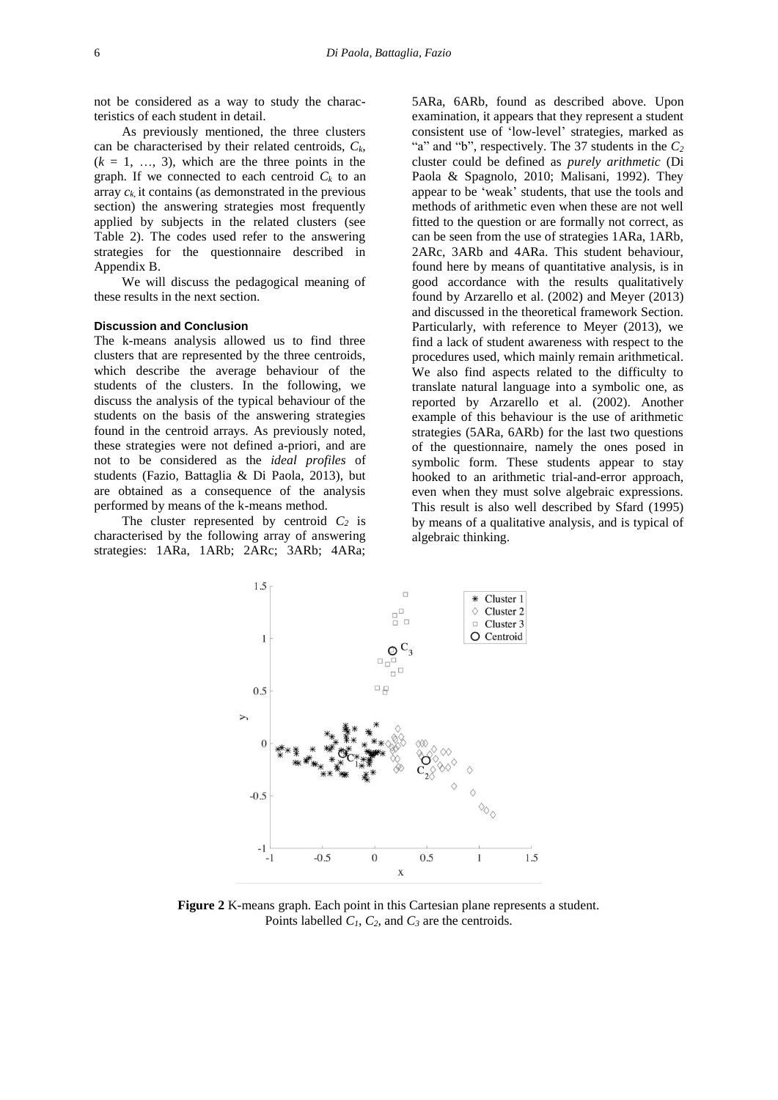not be considered as a way to study the characteristics of each student in detail.

As previously mentioned, the three clusters can be characterised by their related centroids, *Ck*,  $(k = 1, \ldots, 3)$ , which are the three points in the graph. If we connected to each centroid  $C_k$  to an array  $c_k$  it contains (as demonstrated in the previous section) the answering strategies most frequently applied by subjects in the related clusters (see Table 2). The codes used refer to the answering strategies for the questionnaire described in Appendix B.

We will discuss the pedagogical meaning of these results in the next section.

#### **Discussion and Conclusion**

The k-means analysis allowed us to find three clusters that are represented by the three centroids, which describe the average behaviour of the students of the clusters. In the following, we discuss the analysis of the typical behaviour of the students on the basis of the answering strategies found in the centroid arrays. As previously noted, these strategies were not defined a-priori, and are not to be considered as the *ideal profiles* of students (Fazio, Battaglia & Di Paola, 2013), but are obtained as a consequence of the analysis performed by means of the k-means method.

The cluster represented by centroid  $C_2$  is characterised by the following array of answering strategies: 1ARa, 1ARb; 2ARc; 3ARb; 4ARa; 5ARa, 6ARb, found as described above. Upon examination, it appears that they represent a student consistent use of 'low-level' strategies, marked as "a" and "b", respectively. The 37 students in the *C<sup>2</sup>* cluster could be defined as *purely arithmetic* (Di Paola & Spagnolo, 2010; Malisani, 1992). They appear to be 'weak' students, that use the tools and methods of arithmetic even when these are not well fitted to the question or are formally not correct, as can be seen from the use of strategies 1ARa, 1ARb, 2ARc, 3ARb and 4ARa. This student behaviour, found here by means of quantitative analysis, is in good accordance with the results qualitatively found by Arzarello et al. (2002) and Meyer (2013) and discussed in the theoretical framework Section. Particularly, with reference to Meyer (2013), we find a lack of student awareness with respect to the procedures used, which mainly remain arithmetical. We also find aspects related to the difficulty to translate natural language into a symbolic one, as reported by Arzarello et al. (2002). Another example of this behaviour is the use of arithmetic strategies (5ARa, 6ARb) for the last two questions of the questionnaire, namely the ones posed in symbolic form. These students appear to stay hooked to an arithmetic trial-and-error approach, even when they must solve algebraic expressions. This result is also well described by Sfard (1995) by means of a qualitative analysis, and is typical of algebraic thinking.



**Figure 2** K-means graph. Each point in this Cartesian plane represents a student. Points labelled *C1*, *C2*, and *C<sup>3</sup>* are the centroids.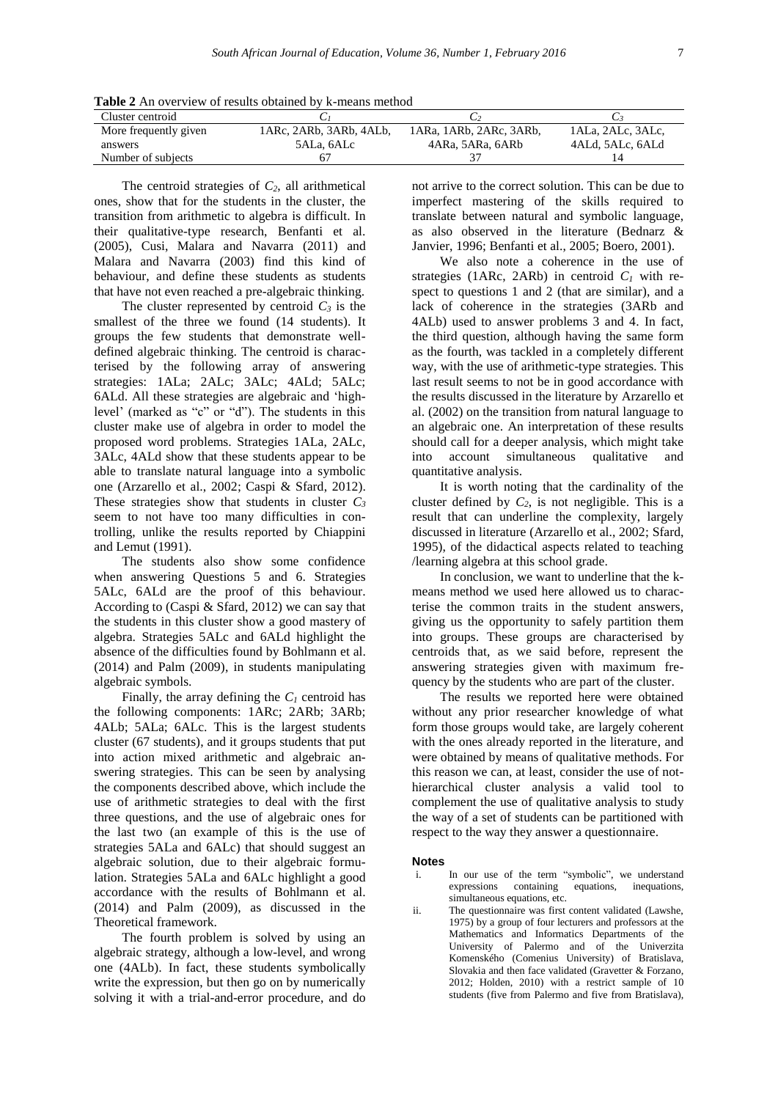**Table 2** An overview of results obtained by k-means method

| Cluster centroid      |                         |                         |                   |
|-----------------------|-------------------------|-------------------------|-------------------|
| More frequently given | 1ARc, 2ARb, 3ARb, 4ALb, | 1ARa, 1ARb, 2ARc, 3ARb, | 1ALa, 2ALc, 3ALc, |
| answers               | 5ALa, 6ALc              | 4ARa. 5ARa. 6ARb        | 4ALd, 5ALc, 6ALd  |
| Number of subjects    |                         |                         |                   |

The centroid strategies of  $C_2$ , all arithmetical ones, show that for the students in the cluster, the transition from arithmetic to algebra is difficult. In their qualitative-type research, Benfanti et al. (2005), Cusi, Malara and Navarra (2011) and Malara and Navarra (2003) find this kind of behaviour, and define these students as students that have not even reached a pre-algebraic thinking.

The cluster represented by centroid  $C_3$  is the smallest of the three we found (14 students). It groups the few students that demonstrate welldefined algebraic thinking. The centroid is characterised by the following array of answering strategies: 1ALa; 2ALc; 3ALc; 4ALd; 5ALc; 6ALd. All these strategies are algebraic and 'highlevel' (marked as "c" or "d"). The students in this cluster make use of algebra in order to model the proposed word problems. Strategies 1ALa, 2ALc, 3ALc, 4ALd show that these students appear to be able to translate natural language into a symbolic one (Arzarello et al., 2002; Caspi & Sfard, 2012). These strategies show that students in cluster  $C_3$ seem to not have too many difficulties in controlling, unlike the results reported by Chiappini and Lemut (1991).

The students also show some confidence when answering Questions 5 and 6. Strategies 5ALc, 6ALd are the proof of this behaviour. According to (Caspi & Sfard, 2012) we can say that the students in this cluster show a good mastery of algebra. Strategies 5ALc and 6ALd highlight the absence of the difficulties found by Bohlmann et al. (2014) and Palm (2009), in students manipulating algebraic symbols.

Finally, the array defining the  $C_I$  centroid has the following components: 1ARc; 2ARb; 3ARb; 4ALb; 5ALa; 6ALc. This is the largest students cluster (67 students), and it groups students that put into action mixed arithmetic and algebraic answering strategies. This can be seen by analysing the components described above, which include the use of arithmetic strategies to deal with the first three questions, and the use of algebraic ones for the last two (an example of this is the use of strategies 5ALa and 6ALc) that should suggest an algebraic solution, due to their algebraic formulation. Strategies 5ALa and 6ALc highlight a good accordance with the results of Bohlmann et al. (2014) and Palm (2009), as discussed in the Theoretical framework.

The fourth problem is solved by using an algebraic strategy, although a low-level, and wrong one (4ALb). In fact, these students symbolically write the expression, but then go on by numerically solving it with a trial-and-error procedure, and do not arrive to the correct solution. This can be due to imperfect mastering of the skills required to translate between natural and symbolic language, as also observed in the literature (Bednarz & Janvier, 1996; Benfanti et al., 2005; Boero, 2001).

We also note a coherence in the use of strategies (1ARc, 2ARb) in centroid  $C_I$  with respect to questions 1 and 2 (that are similar), and a lack of coherence in the strategies (3ARb and 4ALb) used to answer problems 3 and 4. In fact, the third question, although having the same form as the fourth, was tackled in a completely different way, with the use of arithmetic-type strategies. This last result seems to not be in good accordance with the results discussed in the literature by Arzarello et al. (2002) on the transition from natural language to an algebraic one. An interpretation of these results should call for a deeper analysis, which might take into account simultaneous qualitative and quantitative analysis.

It is worth noting that the cardinality of the cluster defined by  $C_2$ , is not negligible. This is a result that can underline the complexity, largely discussed in literature (Arzarello et al., 2002; Sfard, 1995), of the didactical aspects related to teaching /learning algebra at this school grade.

In conclusion, we want to underline that the kmeans method we used here allowed us to characterise the common traits in the student answers, giving us the opportunity to safely partition them into groups. These groups are characterised by centroids that, as we said before, represent the answering strategies given with maximum frequency by the students who are part of the cluster.

The results we reported here were obtained without any prior researcher knowledge of what form those groups would take, are largely coherent with the ones already reported in the literature, and were obtained by means of qualitative methods. For this reason we can, at least, consider the use of nothierarchical cluster analysis a valid tool to complement the use of qualitative analysis to study the way of a set of students can be partitioned with respect to the way they answer a questionnaire.

#### **Notes**

- In our use of the term "symbolic", we understand expressions containing equations, inequations, simultaneous equations, etc.
- ii. The questionnaire was first content validated (Lawshe, 1975) by a group of four lecturers and professors at the Mathematics and Informatics Departments of the University of Palermo and of the Univerzita Komenského (Comenius University) of Bratislava, Slovakia and then face validated (Gravetter & Forzano, 2012; Holden, 2010) with a restrict sample of 10 students (five from Palermo and five from Bratislava),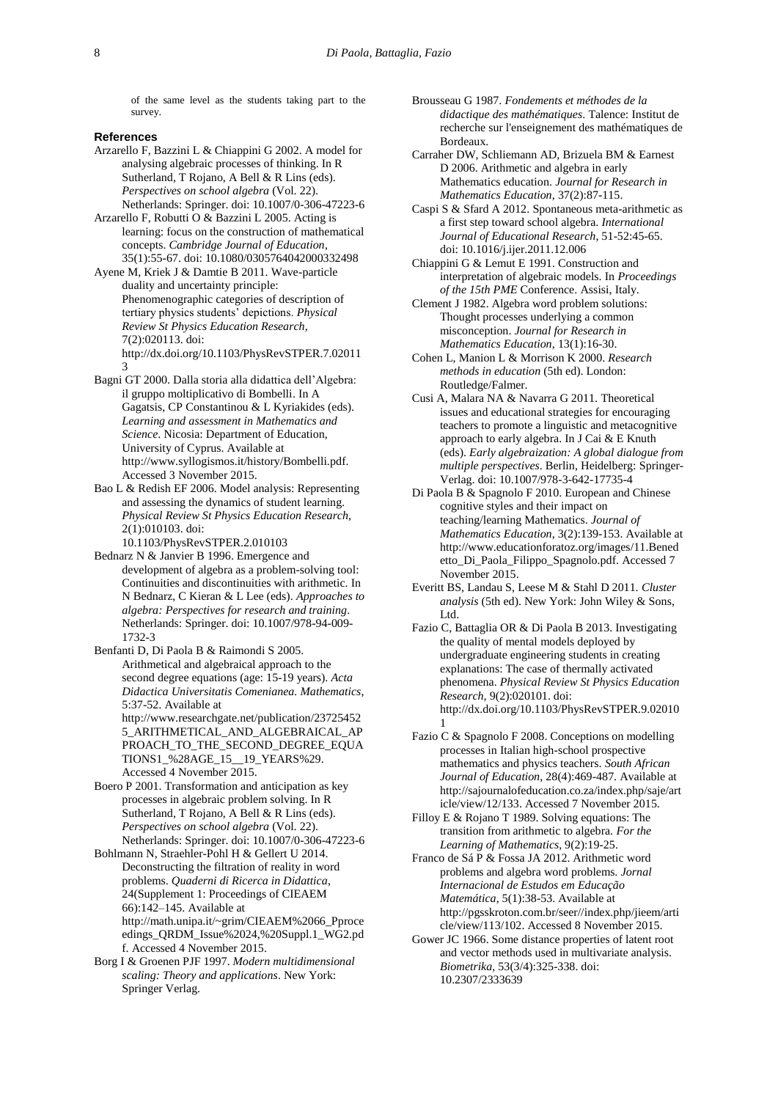of the same level as the students taking part to the survey.

#### **References**

- Arzarello F, Bazzini L & Chiappini G 2002. A model for analysing algebraic processes of thinking. In R Sutherland, T Rojano, A Bell & R Lins (eds). *Perspectives on school algebra* (Vol. 22). Netherlands: Springer. [doi: 10.1007/0-306-47223-6](http://link.springer.com/book/10.1007%2F0-306-47223-6)
- Arzarello F, Robutti O & Bazzini L 2005. Acting is learning: focus on the construction of mathematical concepts. *Cambridge Journal of Education*, 35(1):55-67. [doi: 10.1080/0305764042000332498](http://www.tandfonline.com/doi/abs/10.1080/0305764042000332498?journalCode=ccje20)
- Ayene M, Kriek J & Damtie B 2011. Wave-particle duality and uncertainty principle: Phenomenographic categories of description of tertiary physics students' depictions. *Physical Review St Physics Education Research*, 7(2):020113. doi: http://dx.doi.org/10.1103/PhysRevSTPER.7.02011 3
- Bagni GT 2000. Dalla storia alla didattica dell'Algebra: il gruppo moltiplicativo di Bombelli. In A Gagatsis, CP Constantinou & L Kyriakides (eds). *Learning and assessment in Mathematics and Science*. Nicosia: Department of Education, University of Cyprus. Available at [http://www.syllogismos.it/history/Bombelli.pdf.](http://www.syllogismos.it/history/Bombelli.pdf) Accessed 3 November 2015.
- Bao L & Redish EF 2006. Model analysis: Representing and assessing the dynamics of student learning. *Physical Review St Physics Education Research*, 2(1):010103. [doi:](http://journals.aps.org/prstper/pdf/10.1103/PhysRevSTPER.2.010103) 
	- [10.1103/PhysRevSTPER.2.010103](http://journals.aps.org/prstper/pdf/10.1103/PhysRevSTPER.2.010103)
- Bednarz N & Janvier B 1996. Emergence and development of algebra as a problem-solving tool: Continuities and discontinuities with arithmetic. In N Bednarz, C Kieran & L Lee (eds). *Approaches to algebra: Perspectives for research and training*. Netherlands: Springer. [doi: 10.1007/978-94-009-](http://www.springer.com/gp/book/9780792341451) [1732-3](http://www.springer.com/gp/book/9780792341451)
- Benfanti D, Di Paola B & Raimondi S 2005. Arithmetical and algebraical approach to the second degree equations (age: 15-19 years). *Acta Didactica Universitatis Comenianea. Mathematics*, 5:37-52. Available at [http://www.researchgate.net/publication/23725452](http://www.researchgate.net/publication/237254525_ARITHMETICAL_AND_ALGEBRAICAL_APPROACH_TO_THE_SECOND_DEGREE_EQUATIONS1_%28AGE_15__19_YEARS%29) [5\\_ARITHMETICAL\\_AND\\_ALGEBRAICAL\\_AP](http://www.researchgate.net/publication/237254525_ARITHMETICAL_AND_ALGEBRAICAL_APPROACH_TO_THE_SECOND_DEGREE_EQUATIONS1_%28AGE_15__19_YEARS%29)
	- [PROACH\\_TO\\_THE\\_SECOND\\_DEGREE\\_EQUA](http://www.researchgate.net/publication/237254525_ARITHMETICAL_AND_ALGEBRAICAL_APPROACH_TO_THE_SECOND_DEGREE_EQUATIONS1_%28AGE_15__19_YEARS%29) [TIONS1\\_%28AGE\\_15\\_\\_19\\_YEARS%29.](http://www.researchgate.net/publication/237254525_ARITHMETICAL_AND_ALGEBRAICAL_APPROACH_TO_THE_SECOND_DEGREE_EQUATIONS1_%28AGE_15__19_YEARS%29) Accessed 4 November 2015.
- Boero P 2001. Transformation and anticipation as key processes in algebraic problem solving. In R Sutherland, T Rojano, A Bell & R Lins (eds). *Perspectives on school algebra* (Vol. 22). Netherlands: Springer. [doi: 10.1007/0-306-47223-6](http://link.springer.com/book/10.1007%2F0-306-47223-6)

Bohlmann N, Straehler-Pohl H & Gellert U 2014. Deconstructing the filtration of reality in word problems. *Quaderni di Ricerca in Didattica*, 24(Supplement 1: Proceedings of CIEAEM 66):142–145. Available at [http://math.unipa.it/~grim/CIEAEM%2066\\_Pproce](http://math.unipa.it/~grim/CIEAEM%2066_Pproceedings_QRDM_Issue%2024,%20Suppl.1_WG2.pdf) [edings\\_QRDM\\_Issue%2024,%20Suppl.1\\_WG2.pd](http://math.unipa.it/~grim/CIEAEM%2066_Pproceedings_QRDM_Issue%2024,%20Suppl.1_WG2.pdf) [f.](http://math.unipa.it/~grim/CIEAEM%2066_Pproceedings_QRDM_Issue%2024,%20Suppl.1_WG2.pdf) Accessed 4 November 2015.

Borg I & Groenen PJF 1997. *Modern multidimensional scaling: Theory and applications*. New York: Springer Verlag.

- Brousseau G 1987. *Fondements et méthodes de la didactique des mathématiques*. Talence: Institut de recherche sur l'enseignement des mathématiques de Bordeaux.
- Carraher DW, Schliemann AD, Brizuela BM & Earnest D 2006. Arithmetic and algebra in early Mathematics education. *Journal for Research in Mathematics Education*, 37(2):87-115.
- Caspi S & Sfard A 2012. Spontaneous meta-arithmetic as a first step toward school algebra. *International Journal of Educational Research*, 51-52:45-65. [doi: 10.1016/j.ijer.2011.12.006](http://dx.doi.org/10.1016/j.ijer.2011.12.006)
- Chiappini G & Lemut E 1991. Construction and interpretation of algebraic models. In *Proceedings of the 15th PME* Conference. Assisi, Italy.
- Clement J 1982. Algebra word problem solutions: Thought processes underlying a common misconception. *Journal for Research in Mathematics Education*, 13(1):16-30.
- Cohen L, Manion L & Morrison K 2000. *Research methods in education* (5th ed). London: Routledge/Falmer.
- Cusi A, Malara NA & Navarra G 2011. Theoretical issues and educational strategies for encouraging teachers to promote a linguistic and metacognitive approach to early algebra. In J Cai & E Knuth (eds). *Early algebraization: A global dialogue from multiple perspectives*. Berlin, Heidelberg: Springer-Verlag. [doi: 10.1007/978-3-642-17735-4](http://www.springer.com/us/book/9783642177347)
- Di Paola B & Spagnolo F 2010. European and Chinese cognitive styles and their impact on teaching/learning Mathematics. *Journal of Mathematics Education*, 3(2):139-153. Available at [http://www.educationforatoz.org/images/11.Bened](http://www.educationforatoz.org/images/11.Benedetto_Di_Paola_Filippo_Spagnolo.pdf) [etto\\_Di\\_Paola\\_Filippo\\_Spagnolo.pdf.](http://www.educationforatoz.org/images/11.Benedetto_Di_Paola_Filippo_Spagnolo.pdf) Accessed 7 November 2015.
- Everitt BS, Landau S, Leese M & Stahl D 2011. *Cluster analysis* (5th ed). New York: John Wiley & Sons, Ltd.
- Fazio C, Battaglia OR & Di Paola B 2013. Investigating the quality of mental models deployed by undergraduate engineering students in creating explanations: The case of thermally activated phenomena. *Physical Review St Physics Education Research,* 9(2):020101. doi: http://dx.doi.org/10.1103/PhysRevSTPER.9.02010 1
- Fazio C & Spagnolo F 2008. Conceptions on modelling processes in Italian high-school prospective mathematics and physics teachers. *South African Journal of Education*, 28(4):469-487. Available at [http://sajournalofeducation.co.za/index.php/saje/art](http://sajournalofeducation.co.za/index.php/saje/article/view/12/133) [icle/view/12/133.](http://sajournalofeducation.co.za/index.php/saje/article/view/12/133) Accessed 7 November 2015.
- Filloy E & Rojano T 1989. Solving equations: The transition from arithmetic to algebra. *For the Learning of Mathematics*, 9(2):19-25.
- Franco de Sá P & Fossa JA 2012. Arithmetic word problems and algebra word problems. *Jornal Internacional de Estudos em Educação Matemática*, 5(1):38-53. Available at [http://pgsskroton.com.br/seer//index.php/jieem/arti](http://pgsskroton.com.br/seer/index.php/jieem/article/view/113/102) [cle/view/113/102.](http://pgsskroton.com.br/seer/index.php/jieem/article/view/113/102) Accessed 8 November 2015.
- Gower JC 1966. Some distance properties of latent root and vector methods used in multivariate analysis. *Biometrika*, 53(3/4):325-338. [doi:](http://www.jstor.org/stable/2333639?seq=1#page_scan_tab_contents)  [10.2307/2333639](http://www.jstor.org/stable/2333639?seq=1#page_scan_tab_contents)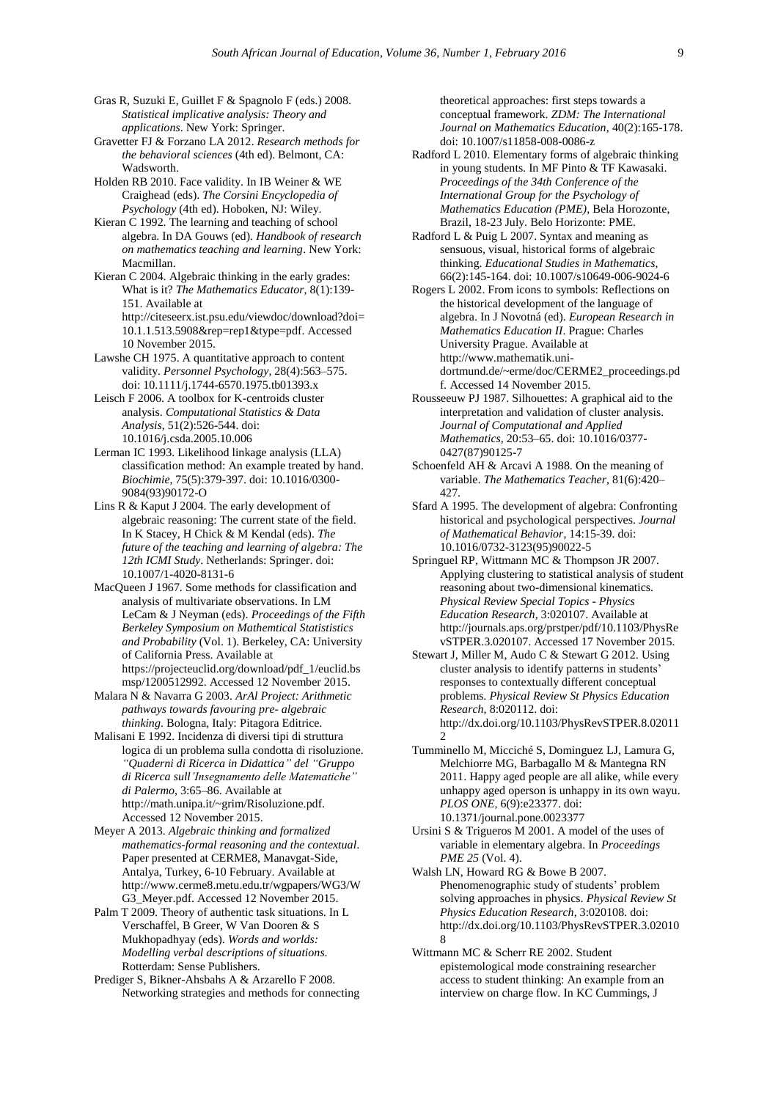Gras R, Suzuki E, Guillet F & Spagnolo F (eds.) 2008. *Statistical implicative analysis: Theory and applications*. New York: Springer.

Gravetter FJ & Forzano LA 2012. *Research methods for the behavioral sciences* (4th ed). Belmont, CA: **Wadsworth** 

Holden RB 2010. Face validity. In IB Weiner & WE Craighead (eds). *The Corsini Encyclopedia of Psychology* (4th ed). Hoboken, NJ: Wiley.

Kieran C 1992. The learning and teaching of school algebra. In DA Gouws (ed). *Handbook of research on mathematics teaching and learning*. New York: Macmillan.

Kieran C 2004. Algebraic thinking in the early grades: What is it? *The Mathematics Educator*, 8(1):139- 151. Available at

[http://citeseerx.ist.psu.edu/viewdoc/download?doi=](http://citeseerx.ist.psu.edu/viewdoc/download?doi=10.1.1.513.5908&rep=rep1&type=pdf) [10.1.1.513.5908&rep=rep1&type=pdf.](http://citeseerx.ist.psu.edu/viewdoc/download?doi=10.1.1.513.5908&rep=rep1&type=pdf) Accessed 10 November 2015.

Lawshe CH 1975. A quantitative approach to content validity. *Personnel Psychology*, 28(4):563–575. doi: [10.1111/j.1744-6570.1975.tb01393.x](http://onlinelibrary.wiley.com/doi/10.1111/j.1744-6570.1975.tb01393.x/abstract)

Leisch F 2006. A toolbox for K-centroids cluster analysis. *Computational Statistics & Data Analysis*, 51(2):526-544. [doi:](http://dx.doi.org/10.1016/j.csda.2005.10.006) [10.1016/j.csda.2005.10.006](http://dx.doi.org/10.1016/j.csda.2005.10.006)

Lerman IC 1993. Likelihood linkage analysis (LLA) classification method: An example treated by hand. *Biochimie*, 75(5):379-397. [doi: 10.1016/0300-](http://dx.doi.org/10.1016/0300-9084%2893%2990172-O) [9084\(93\)90172-O](http://dx.doi.org/10.1016/0300-9084%2893%2990172-O)

Lins R & Kaput J 2004. The early development of algebraic reasoning: The current state of the field. In K Stacey, H Chick & M Kendal (eds). *The future of the teaching and learning of algebra: The 12th ICMI Study*. Netherlands: Springer. [doi:](http://www.springer.com/gp/book/9781402081309)  [10.1007/1-4020-8131-6](http://www.springer.com/gp/book/9781402081309)

MacQueen J 1967. Some methods for classification and analysis of multivariate observations. In LM LeCam & J Neyman (eds). *Proceedings of the Fifth Berkeley Symposium on Mathemtical Statististics and Probability* (Vol. 1). Berkeley, CA: University of California Press. Available at [https://projecteuclid.org/download/pdf\\_1/euclid.bs](https://projecteuclid.org/download/pdf_1/euclid.bsmsp/1200512992) [msp/1200512992.](https://projecteuclid.org/download/pdf_1/euclid.bsmsp/1200512992) Accessed 12 November 2015.

Malara N & Navarra G 2003. *ArAl Project: Arithmetic pathways towards favouring pre- algebraic thinking*. Bologna, Italy: Pitagora Editrice.

Malisani E 1992. Incidenza di diversi tipi di struttura logica di un problema sulla condotta di risoluzione. *"Quaderni di Ricerca in Didattica" del "Gruppo di Ricerca sull'Insegnamento delle Matematiche" di Palermo*, 3:65–86. Available at [http://math.unipa.it/~grim/Risoluzione.pdf.](http://math.unipa.it/~grim/Risoluzione.pdf)  Accessed 12 November 2015.

Meyer A 2013. *Algebraic thinking and formalized mathematics-formal reasoning and the contextual*. Paper presented at CERME8, Manavgat-Side, Antalya, Turkey, 6-10 February. Available at [http://www.cerme8.metu.edu.tr/wgpapers/WG3/W](http://www.cerme8.metu.edu.tr/wgpapers/WG3/WG3_Meyer.pdf) [G3\\_Meyer.pdf.](http://www.cerme8.metu.edu.tr/wgpapers/WG3/WG3_Meyer.pdf) Accessed 12 November 2015.

Palm T 2009. Theory of authentic task situations. In L Verschaffel, B Greer, W Van Dooren & S Mukhopadhyay (eds). *Words and worlds: Modelling verbal descriptions of situations*. Rotterdam: Sense Publishers.

Prediger S, Bikner-Ahsbahs A & Arzarello F 2008. Networking strategies and methods for connecting

theoretical approaches: first steps towards a conceptual framework. *ZDM: The International Journal on Mathematics Education*, 40(2):165-178. [doi: 10.1007/s11858-008-0086-z](../../../../../../../../../../../../../../../../../../../../AppData/Local/AppData/Local/Temp/10.1007/s11858-008-0086-z)

Radford L 2010. Elementary forms of algebraic thinking in young students. In MF Pinto & TF Kawasaki. *Proceedings of the 34th Conference of the International Group for the Psychology of Mathematics Education (PME)*, Bela Horozonte, Brazil, 18-23 July. Belo Horizonte: PME.

Radford L & Puig L 2007. Syntax and meaning as sensuous, visual, historical forms of algebraic thinking. *Educational Studies in Mathematics*, 66(2):145-164[. doi: 10.1007/s10649-006-9024-6](http://link.springer.com/article/10.1007%2Fs10649-006-9024-6)

Rogers L 2002. From icons to symbols: Reflections on the historical development of the language of algebra. In J Novotná (ed). *European Research in Mathematics Education II*. Prague: Charles University Prague. Available at [http://www.mathematik.uni](http://www.mathematik.uni-dortmund.de/~erme/doc/CERME2_proceedings.pdf)[dortmund.de/~erme/doc/CERME2\\_proceedings.pd](http://www.mathematik.uni-dortmund.de/~erme/doc/CERME2_proceedings.pdf) [f.](http://www.mathematik.uni-dortmund.de/~erme/doc/CERME2_proceedings.pdf) Accessed 14 November 2015.

Rousseeuw PJ 1987. Silhouettes: A graphical aid to the interpretation and validation of cluster analysis. *Journal of Computational and Applied Mathematics*, 20:53–65. [doi: 10.1016/0377-](http://dx.doi.org/10.1016/0377-0427%2887%2990125-7) [0427\(87\)90125-7](http://dx.doi.org/10.1016/0377-0427%2887%2990125-7)

Schoenfeld AH & Arcavi A 1988. On the meaning of variable. *The Mathematics Teacher*, 81(6):420– 427.

Sfard A 1995. The development of algebra: Confronting historical and psychological perspectives. *Journal of Mathematical Behavior*, 14:15-39. [doi:](http://www.researchgate.net/publication/247835388_The_development_of_algebra_Confronting_historical_and_psychological_perspectives)  [10.1016/0732-3123\(95\)90022-5](http://www.researchgate.net/publication/247835388_The_development_of_algebra_Confronting_historical_and_psychological_perspectives)

Springuel RP, Wittmann MC & Thompson JR 2007. Applying clustering to statistical analysis of student reasoning about two-dimensional kinematics. *Physical Review Special Topics - Physics Education Research*, 3:020107. Available at [http://journals.aps.org/prstper/pdf/10.1103/PhysRe](http://journals.aps.org/prstper/pdf/10.1103/PhysRevSTPER.3.020107) [vSTPER.3.020107.](http://journals.aps.org/prstper/pdf/10.1103/PhysRevSTPER.3.020107) Accessed 17 November 2015.

Stewart J, Miller M, Audo C & Stewart G 2012. Using cluster analysis to identify patterns in students' responses to contextually different conceptual problems. *Physical Review St Physics Education Research*, 8:020112. doi: http://dx.doi.org/10.1103/PhysRevSTPER.8.02011 2

- Tumminello M, Micciché S, Dominguez LJ, Lamura G, Melchiorre MG, Barbagallo M & Mantegna RN 2011. Happy aged people are all alike, while every unhappy aged operson is unhappy in its own wayu. *PLOS ONE*, 6(9):e23377. [doi:](http://journals.plos.org/plosone/article?id=10.1371/journal.pone.0023377)  [10.1371/journal.pone.0023377](http://journals.plos.org/plosone/article?id=10.1371/journal.pone.0023377)
- Ursini S & Trigueros M 2001. A model of the uses of variable in elementary algebra. In *Proceedings PME 25* (Vol. 4).

Walsh LN, Howard RG & Bowe B 2007. Phenomenographic study of students' problem solving approaches in physics. *Physical Review St Physics Education Research*, 3:020108. doi: http://dx.doi.org/10.1103/PhysRevSTPER.3.02010 8

Wittmann MC & Scherr RE 2002. Student epistemological mode constraining researcher access to student thinking: An example from an interview on charge flow. In KC Cummings, J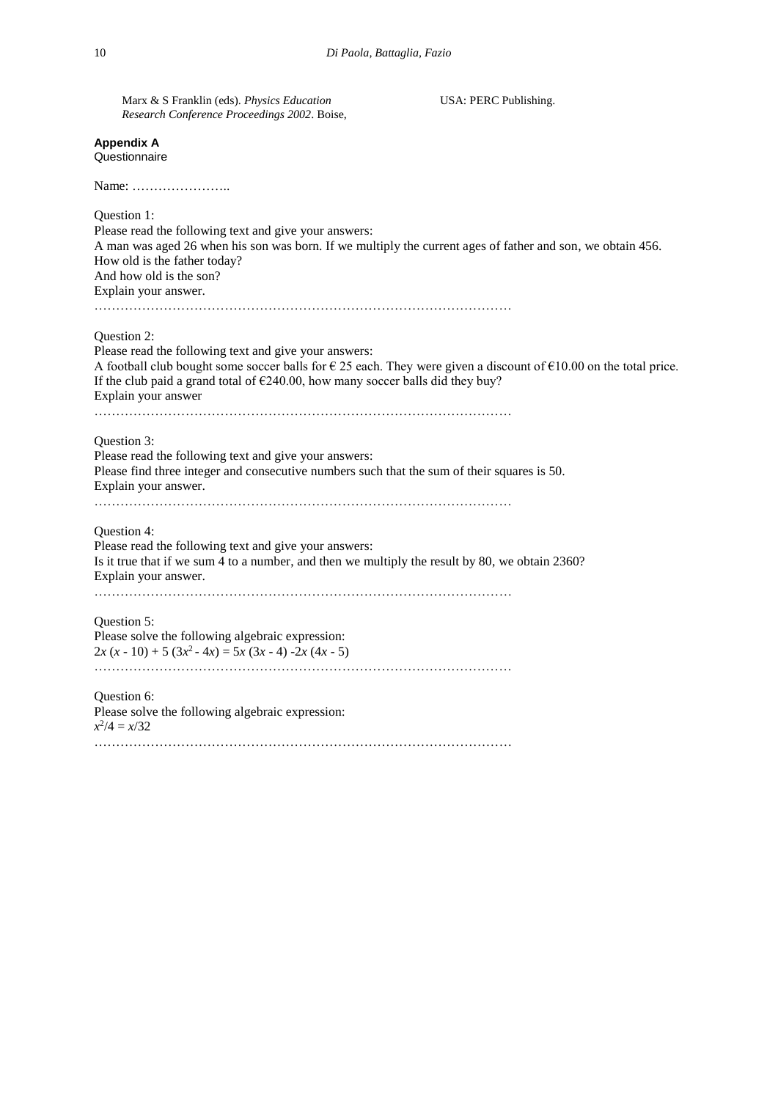| Marx & S Franklin (eds). Physics Education<br>Research Conference Proceedings 2002. Boise,                                                                                                                                                                            | USA: PERC Publishing.                                                                                                               |
|-----------------------------------------------------------------------------------------------------------------------------------------------------------------------------------------------------------------------------------------------------------------------|-------------------------------------------------------------------------------------------------------------------------------------|
| <b>Appendix A</b><br>Questionnaire                                                                                                                                                                                                                                    |                                                                                                                                     |
|                                                                                                                                                                                                                                                                       |                                                                                                                                     |
| Question 1:<br>Please read the following text and give your answers:<br>A man was aged 26 when his son was born. If we multiply the current ages of father and son, we obtain 456.<br>How old is the father today?<br>And how old is the son?<br>Explain your answer. |                                                                                                                                     |
| Question 2:<br>Please read the following text and give your answers:<br>If the club paid a grand total of $E$ 240.00, how many soccer balls did they buy?<br>Explain your answer                                                                                      | A football club bought some soccer balls for $\epsilon$ 25 each. They were given a discount of $\epsilon$ 10.00 on the total price. |
| Question 3:<br>Please read the following text and give your answers:<br>Please find three integer and consecutive numbers such that the sum of their squares is 50.<br>Explain your answer.                                                                           |                                                                                                                                     |
| Question 4:<br>Please read the following text and give your answers:<br>Is it true that if we sum 4 to a number, and then we multiply the result by 80, we obtain 2360?<br>Explain your answer.                                                                       |                                                                                                                                     |
| Question 5:<br>Please solve the following algebraic expression:<br>$2x (x - 10) + 5 (3x^{2} - 4x) = 5x (3x - 4) - 2x (4x - 5)$                                                                                                                                        |                                                                                                                                     |
| Question 6:<br>Please solve the following algebraic expression:<br>$x^2/4 = x/32$                                                                                                                                                                                     |                                                                                                                                     |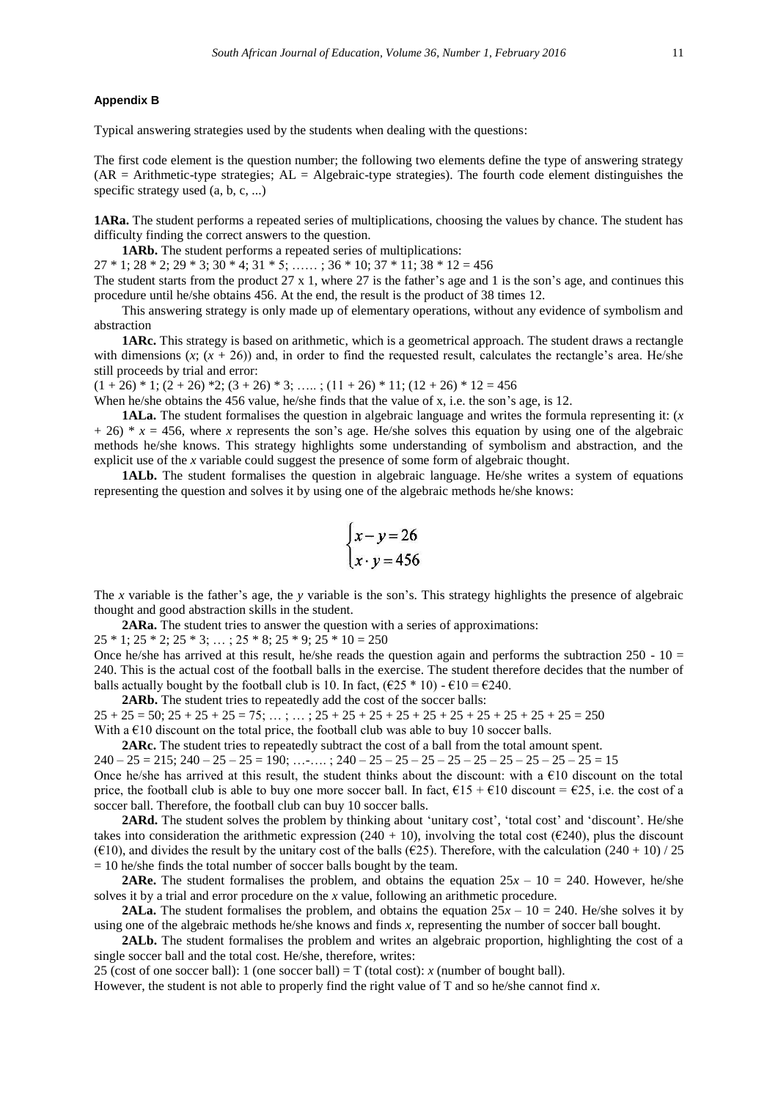### **Appendix B**

Typical answering strategies used by the students when dealing with the questions:

The first code element is the question number; the following two elements define the type of answering strategy  $(AR = Arithmetic-type strategies; AL = Algebraic-type strategies)$ . The fourth code element distinguishes the specific strategy used  $(a, b, c, ...)$ 

**1ARa.** The student performs a repeated series of multiplications, choosing the values by chance. The student has difficulty finding the correct answers to the question.

**1ARb.** The student performs a repeated series of multiplications:

 $27 * 1$ ;  $28 * 2$ ;  $29 * 3$ ;  $30 * 4$ ;  $31 * 5$ ; ……;  $36 * 10$ ;  $37 * 11$ ;  $38 * 12 = 456$ 

The student starts from the product  $27 \times 1$ , where  $27$  is the father's age and 1 is the son's age, and continues this procedure until he/she obtains 456. At the end, the result is the product of 38 times 12.

This answering strategy is only made up of elementary operations, without any evidence of symbolism and abstraction

**1ARc.** This strategy is based on arithmetic, which is a geometrical approach. The student draws a rectangle with dimensions  $(x; (x + 26))$  and, in order to find the requested result, calculates the rectangle's area. He/she still proceeds by trial and error:

 $(1 + 26) * 1$ ;  $(2 + 26) * 2$ ;  $(3 + 26) * 3$ ; …..;  $(11 + 26) * 11$ ;  $(12 + 26) * 12 = 456$ 

When he/she obtains the 456 value, he/she finds that the value of x, i.e. the son's age, is 12.

**1ALa.** The student formalises the question in algebraic language and writes the formula representing it: (*x*  $+ 26$ <sup>\*</sup> *x* = 456, where *x* represents the son's age. He/she solves this equation by using one of the algebraic methods he/she knows. This strategy highlights some understanding of symbolism and abstraction, and the explicit use of the *x* variable could suggest the presence of some form of algebraic thought.

**1ALb.** The student formalises the question in algebraic language. He/she writes a system of equations representing the question and solves it by using one of the algebraic methods he/she knows:

$$
\begin{cases}\nx - y = 26 \\
x \cdot y = 456\n\end{cases}
$$

The *x* variable is the father's age, the *y* variable is the son's. This strategy highlights the presence of algebraic thought and good abstraction skills in the student.

**2ARa.** The student tries to answer the question with a series of approximations:

 $25 * 1$ ;  $25 * 2$ ;  $25 * 3$ ; ...;  $25 * 8$ ;  $25 * 9$ ;  $25 * 10 = 250$ 

Once he/she has arrived at this result, he/she reads the question again and performs the subtraction  $250 - 10 =$ 240. This is the actual cost of the football balls in the exercise. The student therefore decides that the number of balls actually bought by the football club is 10. In fact,  $(\text{\textsterling}25 * 10) - \text{\textsterling}10 = \text{\textsterling}240$ .

**2ARb.** The student tries to repeatedly add the cost of the soccer balls:

 $25 + 25 = 50$ ;  $25 + 25 + 25 = 75$ ; … ; … ;  $25 + 25 + 25 + 25 + 25 + 25 + 25 + 25 + 25 + 25 = 250$ With a  $\epsilon$ 10 discount on the total price, the football club was able to buy 10 soccer balls.

**2ARc.** The student tries to repeatedly subtract the cost of a ball from the total amount spent.

 $240 - 25 = 215$ ;  $240 - 25 - 25 = 190$ ; ...-....;  $240 - 25 - 25 - 25 - 25 - 25 - 25 - 25 - 25 - 25 = 15$ Once he/she has arrived at this result, the student thinks about the discount: with a  $\epsilon$ 10 discount on the total price, the football club is able to buy one more soccer ball. In fact,  $\epsilon$ 15 +  $\epsilon$ 10 discount =  $\epsilon$ 25, i.e. the cost of a soccer ball. Therefore, the football club can buy 10 soccer balls.

2ARd. The student solves the problem by thinking about 'unitary cost', 'total cost' and 'discount'. He/she takes into consideration the arithmetic expression (240 + 10), involving the total cost ( $\epsilon$ 240), plus the discount ( $\epsilon$ 10), and divides the result by the unitary cost of the balls ( $\epsilon$ 25). Therefore, with the calculation (240 + 10) / 25  $= 10$  he/she finds the total number of soccer balls bought by the team.

**2ARe.** The student formalises the problem, and obtains the equation  $25x - 10 = 240$ . However, he/she solves it by a trial and error procedure on the *x* value, following an arithmetic procedure.

**2ALa.** The student formalises the problem, and obtains the equation  $25x - 10 = 240$ . He/she solves it by using one of the algebraic methods he/she knows and finds *x,* representing the number of soccer ball bought.

**2ALb.** The student formalises the problem and writes an algebraic proportion, highlighting the cost of a single soccer ball and the total cost. He/she, therefore, writes:

25 (cost of one soccer ball): 1 (one soccer ball) =  $T$  (total cost): *x* (number of bought ball).

However, the student is not able to properly find the right value of T and so he/she cannot find *x*.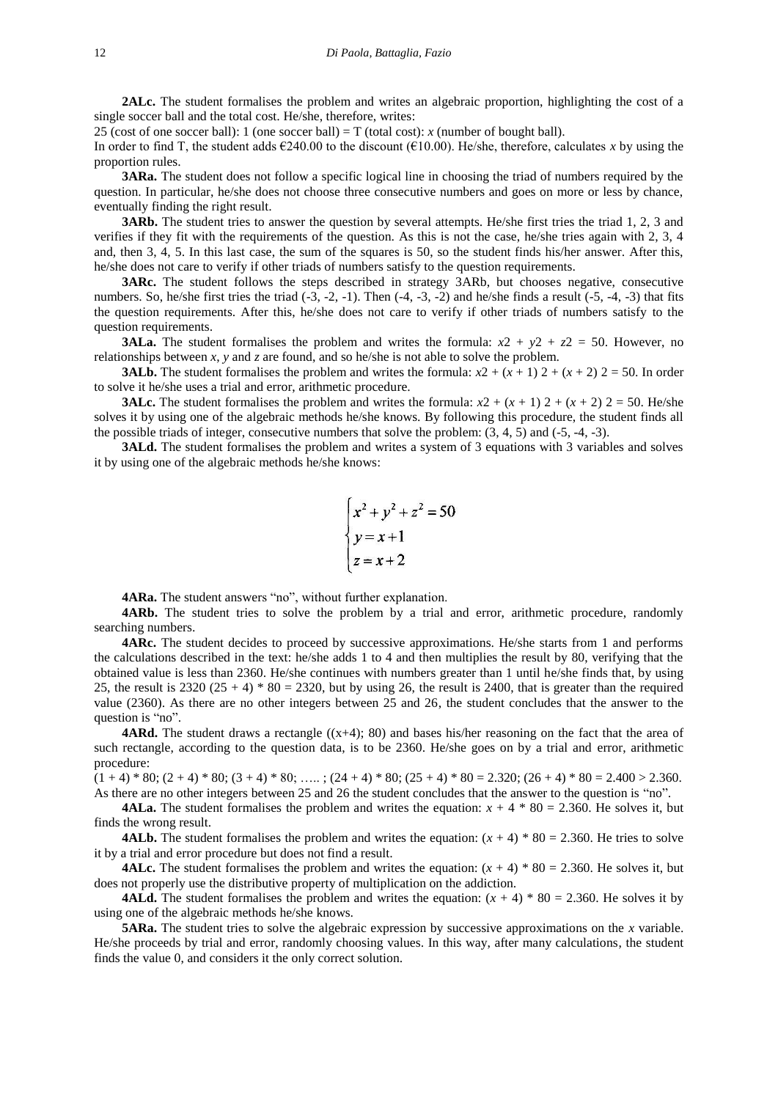**2ALc.** The student formalises the problem and writes an algebraic proportion, highlighting the cost of a single soccer ball and the total cost. He/she, therefore, writes:

25 (cost of one soccer ball): 1 (one soccer ball) = T (total cost): *x* (number of bought ball).

In order to find T, the student adds  $\epsilon$ 240.00 to the discount ( $\epsilon$ 10.00). He/she, therefore, calculates *x* by using the proportion rules.

**3ARa.** The student does not follow a specific logical line in choosing the triad of numbers required by the question. In particular, he/she does not choose three consecutive numbers and goes on more or less by chance, eventually finding the right result.

**3ARb.** The student tries to answer the question by several attempts. He/she first tries the triad 1, 2, 3 and verifies if they fit with the requirements of the question. As this is not the case, he/she tries again with 2, 3, 4 and, then 3, 4, 5. In this last case, the sum of the squares is 50, so the student finds his/her answer. After this, he/she does not care to verify if other triads of numbers satisfy to the question requirements.

**3ARc.** The student follows the steps described in strategy 3ARb, but chooses negative, consecutive numbers. So, he/she first tries the triad  $(-3, -2, -1)$ . Then  $(-4, -3, -2)$  and he/she finds a result  $(-5, -4, -3)$  that fits the question requirements. After this, he/she does not care to verify if other triads of numbers satisfy to the question requirements.

**3ALa.** The student formalises the problem and writes the formula:  $x^2 + y^2 + z^2 = 50$ . However, no relationships between *x*, *y* and *z* are found, and so he/she is not able to solve the problem.

**3ALb.** The student formalises the problem and writes the formula:  $x^2 + (x + 1)^2 + (x + 2)^2 = 50$ . In order to solve it he/she uses a trial and error, arithmetic procedure.

**3ALc.** The student formalises the problem and writes the formula:  $x^2 + (x + 1) + (x + 2) = 50$ . He/she solves it by using one of the algebraic methods he/she knows. By following this procedure, the student finds all the possible triads of integer, consecutive numbers that solve the problem: (3, 4, 5) and (-5, -4, -3).

**3ALd.** The student formalises the problem and writes a system of 3 equations with 3 variables and solves it by using one of the algebraic methods he/she knows:

$$
\begin{cases}\nx^2 + y^2 + z^2 = 50 \\
y = x + 1 \\
z = x + 2\n\end{cases}
$$

**4ARa.** The student answers "no", without further explanation.

**4ARb.** The student tries to solve the problem by a trial and error, arithmetic procedure, randomly searching numbers.

**4ARc.** The student decides to proceed by successive approximations. He/she starts from 1 and performs the calculations described in the text: he/she adds 1 to 4 and then multiplies the result by 80, verifying that the obtained value is less than 2360. He/she continues with numbers greater than 1 until he/she finds that, by using 25, the result is 2320  $(25 + 4) * 80 = 2320$ , but by using 26, the result is 2400, that is greater than the required value (2360). As there are no other integers between 25 and 26, the student concludes that the answer to the question is "no".

**4ARd.** The student draws a rectangle  $((x+4); 80)$  and bases his/her reasoning on the fact that the area of such rectangle, according to the question data, is to be 2360. He/she goes on by a trial and error, arithmetic procedure:

 $(1 + 4) * 80$ ;  $(2 + 4) * 80$ ;  $(3 + 4) * 80$ ; …..;  $(24 + 4) * 80$ ;  $(25 + 4) * 80 = 2.320$ ;  $(26 + 4) * 80 = 2.400 > 2.360$ . As there are no other integers between 25 and 26 the student concludes that the answer to the question is "no".

**4ALa.** The student formalises the problem and writes the equation:  $x + 4 * 80 = 2.360$ . He solves it, but finds the wrong result.

**4ALb.** The student formalises the problem and writes the equation:  $(x + 4) * 80 = 2.360$ . He tries to solve it by a trial and error procedure but does not find a result.

**4ALc.** The student formalises the problem and writes the equation:  $(x + 4) * 80 = 2.360$ . He solves it, but does not properly use the distributive property of multiplication on the addiction.

**4ALd.** The student formalises the problem and writes the equation:  $(x + 4) * 80 = 2.360$ . He solves it by using one of the algebraic methods he/she knows.

**5ARa.** The student tries to solve the algebraic expression by successive approximations on the *x* variable. He/she proceeds by trial and error, randomly choosing values. In this way, after many calculations, the student finds the value 0, and considers it the only correct solution.